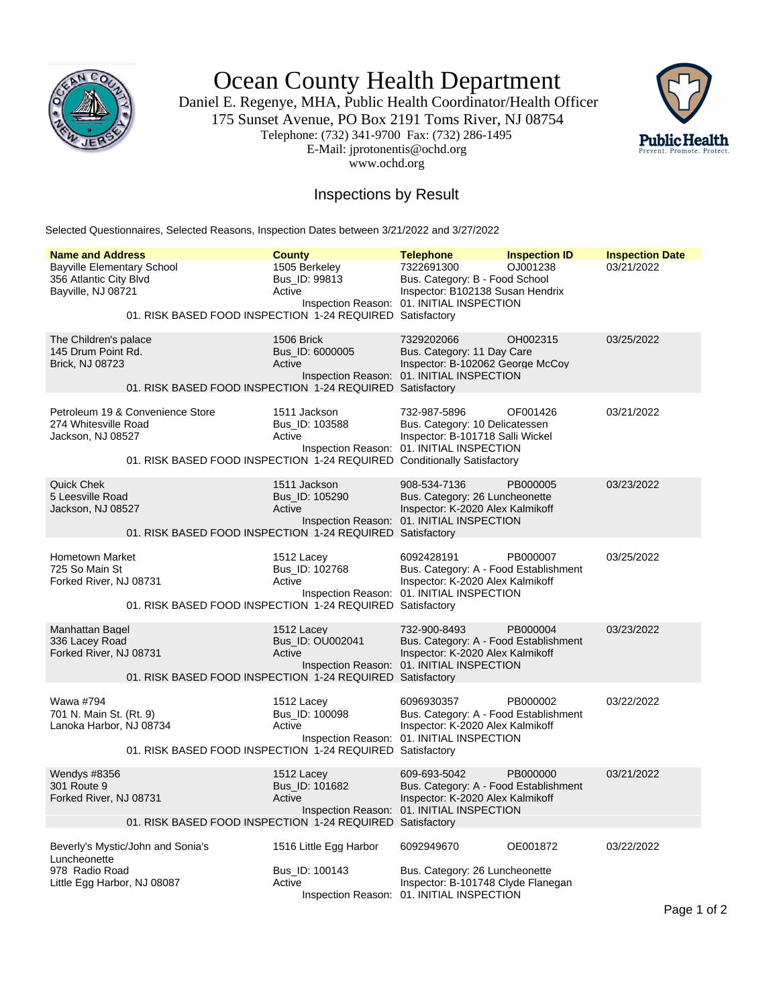

Ocean County Health Department

Daniel E. Regenye, MHA, Public Health Coordinator/Health Officer 175 Sunset Avenue, PO Box 2191 Toms River, NJ 08754 Telephone: (732) 341-9700 Fax: (732) 286-1495 E-Mail: jprotonentis@ochd.org www.ochd.org



## Inspections by Result

Selected Questionnaires, Selected Reasons, Inspection Dates between 3/21/2022 and 3/27/2022

| <b>Name and Address</b>                                                                                                                                  | <b>County</b>                                      | <b>Telephone</b>                                                                                                                       | <b>Inspection ID</b> | <b>Inspection Date</b> |  |  |  |
|----------------------------------------------------------------------------------------------------------------------------------------------------------|----------------------------------------------------|----------------------------------------------------------------------------------------------------------------------------------------|----------------------|------------------------|--|--|--|
| <b>Bayville Elementary School</b><br>356 Atlantic City Blvd<br>Bayville, NJ 08721                                                                        | 1505 Berkeley<br>Bus_ID: 99813<br>Active           | 7322691300<br>Bus. Category: B - Food School<br>Inspector: B102138 Susan Hendrix<br>Inspection Reason: 01. INITIAL INSPECTION          | OJ001238             | 03/21/2022             |  |  |  |
| 01. RISK BASED FOOD INSPECTION 1-24 REQUIRED Satisfactory                                                                                                |                                                    |                                                                                                                                        |                      |                        |  |  |  |
| The Children's palace<br>145 Drum Point Rd.<br><b>Brick, NJ 08723</b><br>01. RISK BASED FOOD INSPECTION 1-24 REQUIRED Satisfactory                       | 1506 Brick<br>Bus ID: 6000005<br>Active            | 7329202066<br>Bus. Category: 11 Day Care<br>Inspector: B-102062 George McCoy<br>Inspection Reason: 01. INITIAL INSPECTION              | OH002315             | 03/25/2022             |  |  |  |
| Petroleum 19 & Convenience Store<br>274 Whitesville Road<br>Jackson, NJ 08527<br>01. RISK BASED FOOD INSPECTION 1-24 REQUIRED Conditionally Satisfactory | 1511 Jackson<br>Bus_ID: 103588<br>Active           | 732-987-5896<br>Bus. Category: 10 Delicatessen<br>Inspector: B-101718 Salli Wickel<br>Inspection Reason: 01. INITIAL INSPECTION        | OF001426             | 03/21/2022             |  |  |  |
| Quick Chek<br>5 Leesville Road<br>Jackson, NJ 08527<br>01. RISK BASED FOOD INSPECTION 1-24 REQUIRED Satisfactory                                         | 1511 Jackson<br>Bus_ID: 105290<br>Active           | 908-534-7136<br>Bus. Category: 26 Luncheonette<br>Inspector: K-2020 Alex Kalmikoff<br>Inspection Reason: 01. INITIAL INSPECTION        | PB000005             | 03/23/2022             |  |  |  |
| <b>Hometown Market</b><br>725 So Main St<br>Forked River, NJ 08731<br>01. RISK BASED FOOD INSPECTION 1-24 REQUIRED Satisfactory                          | 1512 Lacey<br>Bus ID: 102768<br>Active             | 6092428191<br>Bus. Category: A - Food Establishment<br>Inspector: K-2020 Alex Kalmikoff<br>Inspection Reason: 01. INITIAL INSPECTION   | PB000007             | 03/25/2022             |  |  |  |
| Manhattan Bagel<br>336 Lacey Road<br>Forked River, NJ 08731<br>01. RISK BASED FOOD INSPECTION 1-24 REQUIRED Satisfactory                                 | 1512 Lacey<br>Bus_ID: OU002041<br>Active           | 732-900-8493<br>Bus. Category: A - Food Establishment<br>Inspector: K-2020 Alex Kalmikoff<br>Inspection Reason: 01. INITIAL INSPECTION | PB000004             | 03/23/2022             |  |  |  |
| Wawa #794<br>701 N. Main St. (Rt. 9)<br>Lanoka Harbor, NJ 08734<br>01. RISK BASED FOOD INSPECTION 1-24 REQUIRED Satisfactory                             | 1512 Lacey<br>Bus_ID: 100098<br>Active             | 6096930357<br>Bus. Category: A - Food Establishment<br>Inspector: K-2020 Alex Kalmikoff<br>Inspection Reason: 01. INITIAL INSPECTION   | PB000002             | 03/22/2022             |  |  |  |
| Wendys #8356<br>301 Route 9<br>Forked River, NJ 08731<br>01. RISK BASED FOOD INSPECTION 1-24 REQUIRED Satisfactory                                       | 1512 Lacey<br>Bus_ID: 101682<br>Active             | 609-693-5042<br>Bus. Category: A - Food Establishment<br>Inspector: K-2020 Alex Kalmikoff<br>Inspection Reason: 01. INITIAL INSPECTION | PB000000             | 03/21/2022             |  |  |  |
| Beverly's Mystic/John and Sonia's<br>Luncheonette<br>978 Radio Road<br>Little Egg Harbor, NJ 08087                                                       | 1516 Little Egg Harbor<br>Bus_ID: 100143<br>Active | 6092949670<br>Bus. Category: 26 Luncheonette<br>Inspector: B-101748 Clyde Flanegan<br>Inspection Reason: 01. INITIAL INSPECTION        | OE001872             | 03/22/2022             |  |  |  |